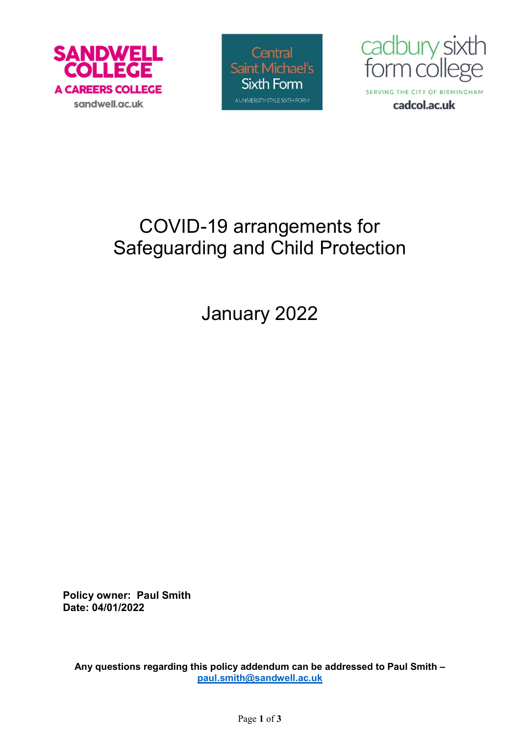





# COVID-19 arrangements for Safeguarding and Child Protection

January 2022

Policy owner: Paul Smith Date: 04/01/2022

Any questions regarding this policy addendum can be addressed to Paul Smith – paul.smith@sandwell.ac.uk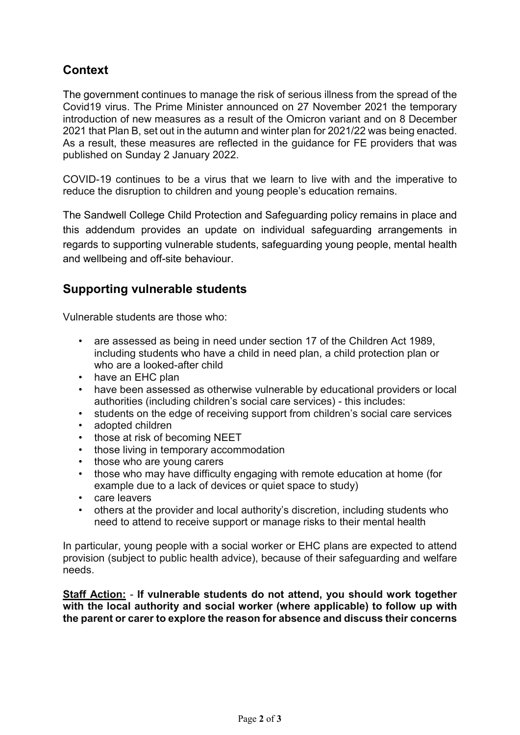## **Context**

The government continues to manage the risk of serious illness from the spread of the Covid19 virus. The Prime Minister announced on 27 November 2021 the temporary introduction of new measures as a result of the Omicron variant and on 8 December 2021 that Plan B, set out in the autumn and winter plan for 2021/22 was being enacted. As a result, these measures are reflected in the guidance for FE providers that was published on Sunday 2 January 2022.

COVID-19 continues to be a virus that we learn to live with and the imperative to reduce the disruption to children and young people's education remains.

The Sandwell College Child Protection and Safeguarding policy remains in place and this addendum provides an update on individual safeguarding arrangements in regards to supporting vulnerable students, safeguarding young people, mental health and wellbeing and off-site behaviour.

#### Supporting vulnerable students

Vulnerable students are those who:

- are assessed as being in need under section 17 of the Children Act 1989, including students who have a child in need plan, a child protection plan or who are a looked-after child
- have an EHC plan
- have been assessed as otherwise vulnerable by educational providers or local authorities (including children's social care services) - this includes:
- students on the edge of receiving support from children's social care services
- adopted children
- those at risk of becoming NEET
- those living in temporary accommodation
- those who are young carers
- those who may have difficulty engaging with remote education at home (for example due to a lack of devices or quiet space to study)
- care leavers
- others at the provider and local authority's discretion, including students who need to attend to receive support or manage risks to their mental health

In particular, young people with a social worker or EHC plans are expected to attend provision (subject to public health advice), because of their safeguarding and welfare needs.

Staff Action: - If vulnerable students do not attend, you should work together with the local authority and social worker (where applicable) to follow up with the parent or carer to explore the reason for absence and discuss their concerns